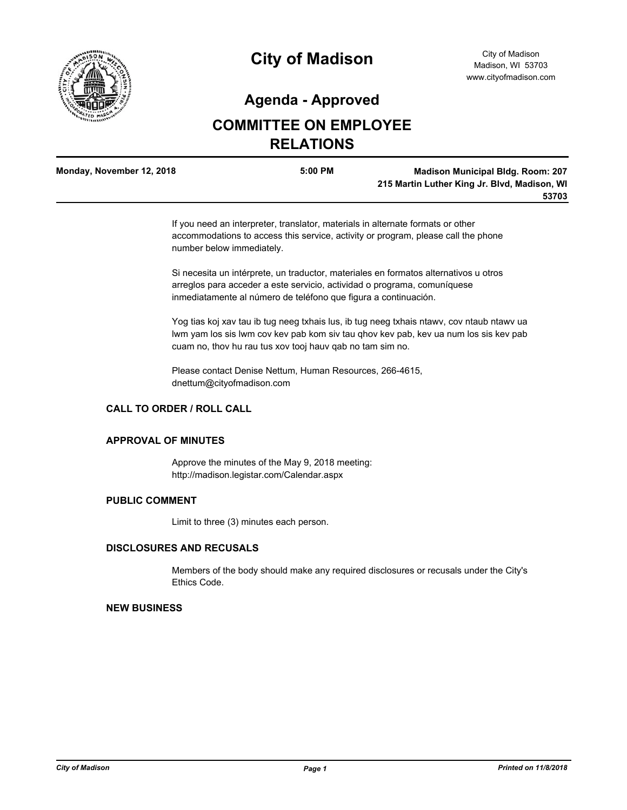

# **City of Madison**

## **Agenda - Approved**

## **COMMITTEE ON EMPLOYEE RELATIONS**

| Monday, November 12, 2018 | 5:00 PM | <b>Madison Municipal Bldg. Room: 207</b>     |
|---------------------------|---------|----------------------------------------------|
|                           |         | 215 Martin Luther King Jr. Blvd, Madison, WI |
|                           |         | 53703                                        |

If you need an interpreter, translator, materials in alternate formats or other accommodations to access this service, activity or program, please call the phone number below immediately.

Si necesita un intérprete, un traductor, materiales en formatos alternativos u otros arreglos para acceder a este servicio, actividad o programa, comuníquese inmediatamente al número de teléfono que figura a continuación.

Yog tias koj xav tau ib tug neeg txhais lus, ib tug neeg txhais ntawv, cov ntaub ntawv ua lwm yam los sis lwm cov kev pab kom siv tau qhov kev pab, kev ua num los sis kev pab cuam no, thov hu rau tus xov tooj hauv qab no tam sim no.

Please contact Denise Nettum, Human Resources, 266-4615, dnettum@cityofmadison.com

### **CALL TO ORDER / ROLL CALL**

#### **APPROVAL OF MINUTES**

Approve the minutes of the May 9, 2018 meeting: http://madison.legistar.com/Calendar.aspx

#### **PUBLIC COMMENT**

Limit to three (3) minutes each person.

#### **DISCLOSURES AND RECUSALS**

Members of the body should make any required disclosures or recusals under the City's Ethics Code.

#### **NEW BUSINESS**